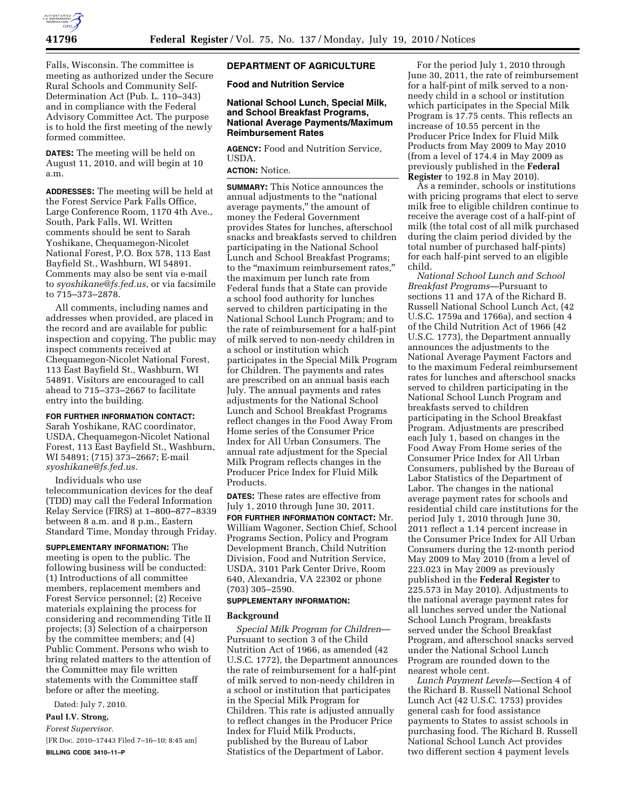

Falls, Wisconsin. The committee is meeting as authorized under the Secure Rural Schools and Community Self-Determination Act (Pub. L. 110–343) and in compliance with the Federal Advisory Committee Act. The purpose is to hold the first meeting of the newly formed committee.

**DATES:** The meeting will be held on August 11, 2010, and will begin at 10 a.m.

**ADDRESSES:** The meeting will be held at the Forest Service Park Falls Office, Large Conference Room, 1170 4th Ave., South, Park Falls, WI. Written comments should be sent to Sarah Yoshikane, Chequamegon-Nicolet National Forest, P.O. Box 578, 113 East Bayfield St., Washburn, WI 54891. Comments may also be sent via e-mail to *syoshikane@fs.fed.us,* or via facsimile to 715–373–2878.

All comments, including names and addresses when provided, are placed in the record and are available for public inspection and copying. The public may inspect comments received at Chequamegon-Nicolet National Forest, 113 East Bayfield St., Washburn, WI 54891. Visitors are encouraged to call ahead to 715–373–2667 to facilitate entry into the building.

## **FOR FURTHER INFORMATION CONTACT:**

Sarah Yoshikane, RAC coordinator, USDA, Chequamegon-Nicolet National Forest, 113 East Bayfield St., Washburn, WI 54891; (715) 373–2667; E-mail *syoshikane@fs.fed.us.* 

Individuals who use telecommunication devices for the deaf (TDD) may call the Federal Information Relay Service (FIRS) at 1–800–877–8339 between 8 a.m. and 8 p.m., Eastern Standard Time, Monday through Friday.

**SUPPLEMENTARY INFORMATION:** The meeting is open to the public. The following business will be conducted: (1) Introductions of all committee members, replacement members and Forest Service personnel; (2) Receive materials explaining the process for considering and recommending Title II projects; (3) Selection of a chairperson by the committee members; and (4) Public Comment. Persons who wish to bring related matters to the attention of the Committee may file written statements with the Committee staff before or after the meeting.

Dated: July 7, 2010.

### **Paul I.V. Strong,**

*Forest Supervisor.* 

[FR Doc. 2010–17443 Filed 7–16–10; 8:45 am] **BILLING CODE 3410–11–P** 

### **DEPARTMENT OF AGRICULTURE**

**Food and Nutrition Service** 

## **National School Lunch, Special Milk, and School Breakfast Programs, National Average Payments/Maximum Reimbursement Rates**

**AGENCY:** Food and Nutrition Service, USDA.

## **ACTION:** Notice.

**SUMMARY:** This Notice announces the annual adjustments to the ''national average payments,'' the amount of money the Federal Government provides States for lunches, afterschool snacks and breakfasts served to children participating in the National School Lunch and School Breakfast Programs; to the ''maximum reimbursement rates,'' the maximum per lunch rate from Federal funds that a State can provide a school food authority for lunches served to children participating in the National School Lunch Program; and to the rate of reimbursement for a half-pint of milk served to non-needy children in a school or institution which participates in the Special Milk Program for Children. The payments and rates are prescribed on an annual basis each July. The annual payments and rates adjustments for the National School Lunch and School Breakfast Programs reflect changes in the Food Away From Home series of the Consumer Price Index for All Urban Consumers. The annual rate adjustment for the Special Milk Program reflects changes in the Producer Price Index for Fluid Milk Products.

**DATES:** These rates are effective from July 1, 2010 through June 30, 2011.

**FOR FURTHER INFORMATION CONTACT:** Mr. William Wagoner, Section Chief, School Programs Section, Policy and Program Development Branch, Child Nutrition Division, Food and Nutrition Service, USDA, 3101 Park Center Drive, Room 640, Alexandria, VA 22302 or phone (703) 305–2590.

### **SUPPLEMENTARY INFORMATION:**

#### **Background**

*Special Milk Program for Children*— Pursuant to section 3 of the Child Nutrition Act of 1966, as amended (42 U.S.C. 1772), the Department announces the rate of reimbursement for a half-pint of milk served to non-needy children in a school or institution that participates in the Special Milk Program for Children. This rate is adjusted annually to reflect changes in the Producer Price Index for Fluid Milk Products, published by the Bureau of Labor Statistics of the Department of Labor.

For the period July 1, 2010 through June 30, 2011, the rate of reimbursement for a half-pint of milk served to a nonneedy child in a school or institution which participates in the Special Milk Program is 17.75 cents. This reflects an increase of 10.55 percent in the Producer Price Index for Fluid Milk Products from May 2009 to May 2010 (from a level of  $174.4$  in May 2009 as previously published in the **Federal Register** to 192.8 in May 2010).

As a reminder, schools or institutions with pricing programs that elect to serve milk free to eligible children continue to receive the average cost of a half-pint of milk (the total cost of all milk purchased during the claim period divided by the total number of purchased half-pints) for each half-pint served to an eligible child.

*National School Lunch and School Breakfast Programs*—Pursuant to sections 11 and 17A of the Richard B. Russell National School Lunch Act, (42 U.S.C. 1759a and 1766a), and section 4 of the Child Nutrition Act of 1966 (42 U.S.C. 1773), the Department annually announces the adjustments to the National Average Payment Factors and to the maximum Federal reimbursement rates for lunches and afterschool snacks served to children participating in the National School Lunch Program and breakfasts served to children participating in the School Breakfast Program. Adjustments are prescribed each July 1, based on changes in the Food Away From Home series of the Consumer Price Index for All Urban Consumers, published by the Bureau of Labor Statistics of the Department of Labor. The changes in the national average payment rates for schools and residential child care institutions for the period July 1, 2010 through June 30, 2011 reflect a 1.14 percent increase in the Consumer Price Index for All Urban Consumers during the 12-month period May 2009 to May 2010 (from a level of 223.023 in May 2009 as previously published in the **Federal Register** to 225.573 in May 2010). Adjustments to the national average payment rates for all lunches served under the National School Lunch Program, breakfasts served under the School Breakfast Program, and afterschool snacks served under the National School Lunch Program are rounded down to the nearest whole cent.

*Lunch Payment Levels*—Section 4 of the Richard B. Russell National School Lunch Act (42 U.S.C. 1753) provides general cash for food assistance payments to States to assist schools in purchasing food. The Richard B. Russell National School Lunch Act provides two different section 4 payment levels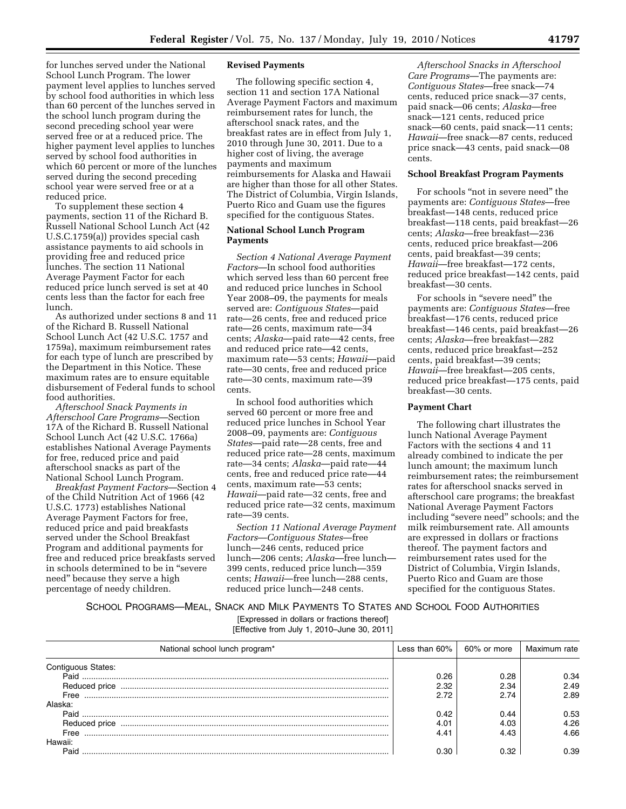for lunches served under the National School Lunch Program. The lower payment level applies to lunches served by school food authorities in which less than 60 percent of the lunches served in the school lunch program during the second preceding school year were served free or at a reduced price. The higher payment level applies to lunches served by school food authorities in which 60 percent or more of the lunches served during the second preceding school year were served free or at a reduced price.

To supplement these section 4 payments, section 11 of the Richard B. Russell National School Lunch Act (42 U.S.C.1759(a)) provides special cash assistance payments to aid schools in providing free and reduced price lunches. The section 11 National Average Payment Factor for each reduced price lunch served is set at 40 cents less than the factor for each free lunch.

As authorized under sections 8 and 11 of the Richard B. Russell National School Lunch Act (42 U.S.C. 1757 and 1759a), maximum reimbursement rates for each type of lunch are prescribed by the Department in this Notice. These maximum rates are to ensure equitable disbursement of Federal funds to school food authorities.

*Afterschool Snack Payments in Afterschool Care Programs*—Section 17A of the Richard B. Russell National School Lunch Act (42 U.S.C. 1766a) establishes National Average Payments for free, reduced price and paid afterschool snacks as part of the National School Lunch Program.

*Breakfast Payment Factors*—Section 4 of the Child Nutrition Act of 1966 (42 U.S.C. 1773) establishes National Average Payment Factors for free, reduced price and paid breakfasts served under the School Breakfast Program and additional payments for free and reduced price breakfasts served in schools determined to be in ''severe need'' because they serve a high percentage of needy children.

**Revised Payments**  The following specific section 4, section 11 and section 17A National Average Payment Factors and maximum reimbursement rates for lunch, the afterschool snack rates, and the breakfast rates are in effect from July 1, 2010 through June 30, 2011. Due to a higher cost of living, the average payments and maximum reimbursements for Alaska and Hawaii are higher than those for all other States. The District of Columbia, Virgin Islands, Puerto Rico and Guam use the figures specified for the contiguous States.

## **National School Lunch Program Payments**

*Section 4 National Average Payment Factors*—In school food authorities which served less than 60 percent free and reduced price lunches in School Year 2008–09, the payments for meals served are: *Contiguous States*—paid rate—26 cents, free and reduced price rate—26 cents, maximum rate—34 cents; *Alaska*—paid rate—42 cents, free and reduced price rate—42 cents, maximum rate—53 cents; *Hawaii*—paid rate—30 cents, free and reduced price rate—30 cents, maximum rate—39 cents.

In school food authorities which served 60 percent or more free and reduced price lunches in School Year 2008–09, payments are: *Contiguous States*—paid rate—28 cents, free and reduced price rate—28 cents, maximum rate—34 cents; *Alaska*—paid rate—44 cents, free and reduced price rate—44 cents, maximum rate—53 cents; *Hawaii*—paid rate—32 cents, free and reduced price rate—32 cents, maximum rate—39 cents.

*Section 11 National Average Payment Factors*—*Contiguous States*—free lunch—246 cents, reduced price lunch—206 cents; *Alaska*—free lunch— 399 cents, reduced price lunch—359 cents; *Hawaii*—free lunch—288 cents, reduced price lunch—248 cents.

*Afterschool Snacks in Afterschool Care Programs*—The payments are: *Contiguous States*—free snack—74 cents, reduced price snack—37 cents, paid snack—06 cents; *Alaska*—free snack—121 cents, reduced price snack—60 cents, paid snack—11 cents; *Hawaii*—free snack—87 cents, reduced price snack—43 cents, paid snack—08 cents.

### **School Breakfast Program Payments**

For schools "not in severe need" the payments are: *Contiguous States*—free breakfast—148 cents, reduced price breakfast—118 cents, paid breakfast—26 cents; *Alaska*—free breakfast—236 cents, reduced price breakfast—206 cents, paid breakfast—39 cents; *Hawaii*—free breakfast—172 cents, reduced price breakfast—142 cents, paid breakfast—30 cents.

For schools in "severe need" the payments are: *Contiguous States*—free breakfast—176 cents, reduced price breakfast—146 cents, paid breakfast—26 cents; *Alaska*—free breakfast—282 cents, reduced price breakfast—252 cents, paid breakfast—39 cents; *Hawaii*—free breakfast—205 cents, reduced price breakfast—175 cents, paid breakfast—30 cents.

# **Payment Chart**

The following chart illustrates the lunch National Average Payment Factors with the sections 4 and 11 already combined to indicate the per lunch amount; the maximum lunch reimbursement rates; the reimbursement rates for afterschool snacks served in afterschool care programs; the breakfast National Average Payment Factors including ''severe need'' schools; and the milk reimbursement rate. All amounts are expressed in dollars or fractions thereof. The payment factors and reimbursement rates used for the District of Columbia, Virgin Islands, Puerto Rico and Guam are those specified for the contiguous States.

SCHOOL PROGRAMS—MEAL, SNACK AND MILK PAYMENTS TO STATES AND SCHOOL FOOD AUTHORITIES

[Expressed in dollars or fractions thereof] [Effective from July 1, 2010–June 30, 2011]

| National school lunch program* | Less than $60\%$ | 60% or more | Maximum rate |
|--------------------------------|------------------|-------------|--------------|
| Contiguous States:             |                  |             |              |
| Paid                           | 0.26             | 0.28        | 0.34         |
| Reduced price                  | 2.32             | 2.34        | 2.49         |
| Free                           | 2.72             | 2.74        | 2.89         |
| Alaska:                        |                  |             |              |
| Paid                           | 0.42             | 0.44        | 0.53         |
| Reduced price                  | 4.01             | 4.03        | 4.26         |
| Free                           | 4.41             | 4.43        | 4.66         |
| Hawaii:                        |                  |             |              |
| Paid                           | חר ר             | 132         | 0.39.        |